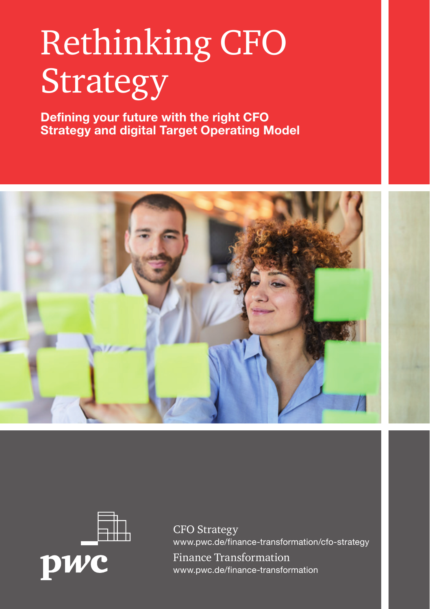# Rethinking CFO Strategy

**Defining your future with the right CFO Strategy and digital Target Operating Model**





CFO Strategy www.pwc.de/finance-transformation/cfo-strategy Finance Transformation www.pwc.de/finance-transformation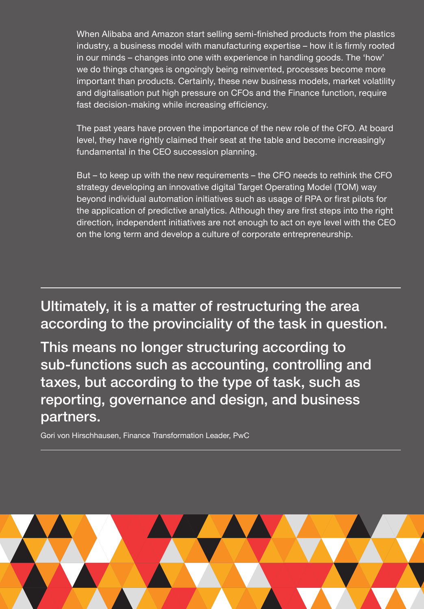When Alibaba and Amazon start selling semi-finished products from the plastics industry, a business model with manufacturing expertise – how it is firmly rooted in our minds – changes into one with experience in handling goods. The 'how' we do things changes is ongoingly being reinvented, processes become more important than products. Certainly, these new business models, market volatility and digitalisation put high pressure on CFOs and the Finance function, require fast decision-making while increasing efficiency.

The past years have proven the importance of the new role of the CFO. At board level, they have rightly claimed their seat at the table and become increasingly fundamental in the CEO succession planning.

But – to keep up with the new requirements – the CFO needs to rethink the CFO strategy developing an innovative digital Target Operating Model (TOM) way beyond individual automation initiatives such as usage of RPA or first pilots for the application of predictive analytics. Although they are first steps into the right direction, independent initiatives are not enough to act on eye level with the CEO on the long term and develop a culture of corporate entrepreneurship.

Ultimately, it is a matter of restructuring the area according to the provinciality of the task in question.

This means no longer structuring according to sub-functions such as accounting, controlling and taxes, but according to the type of task, such as reporting, governance and design, and business partners.

Gori von Hirschhausen, Finance Transformation Leader, PwC

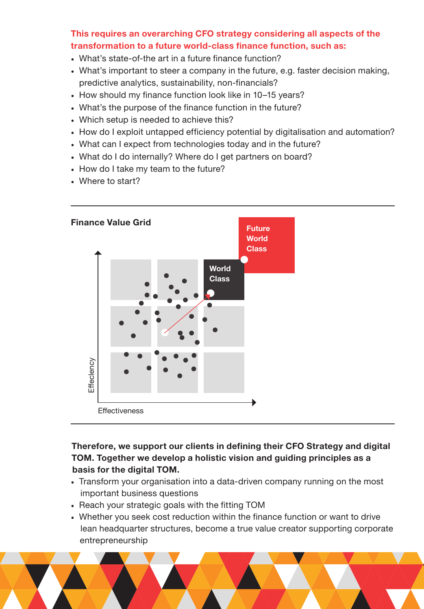## **This requires an overarching CFO strategy considering all aspects of the transformation to a future world-class finance function, such as:**

- What's state-of-the art in a future finance function?
- What's important to steer a company in the future, e.g. faster decision making, predictive analytics, sustainability, non-financials?
- How should my finance function look like in 10–15 years?
- What's the purpose of the finance function in the future?
- Which setup is needed to achieve this?
- How do I exploit untapped efficiency potential by digitalisation and automation?
- What can I expect from technologies today and in the future?
- What do I do internally? Where do I get partners on board?
- How do I take my team to the future?
- Where to start?



## **Therefore, we support our clients in defining their CFO Strategy and digital TOM. Together we develop a holistic vision and guiding principles as a basis for the digital TOM.**

- Transform your organisation into a data-driven company running on the most important business questions
- Reach your strategic goals with the fitting TOM
- Whether you seek cost reduction within the finance function or want to drive lean headquarter structures, become a true value creator supporting corporate entrepreneurship

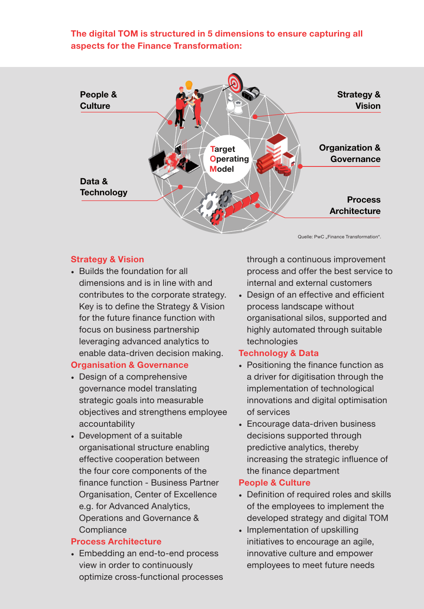## **The digital TOM is structured in 5 dimensions to ensure capturing all aspects for the Finance Transformation:**



#### **Strategy & Vision**

• Builds the foundation for all dimensions and is in line with and contributes to the corporate strategy. . Design of an effective to the corporate strategy. Key is to define the Strategy & Vision for the future finance function with focus on business partnership leveraging advanced analytics to enable data-driven decision making.

#### **Organisation & Governance**

- Design of a comprehensive governance model translating strategic goals into measurable objectives and strengthens employee accountability
- Development of a suitable organisational structure enabling effective cooperation between the four core components of the finance function - Business Partner Organisation, Center of Excellence e.g. for Advanced Analytics, Operations and Governance & **Compliance**

## **Process Architecture**

• Embedding an end-to-end process view in order to continuously optimize cross-functional processes through a continuous improvement process and offer the best service to internal and external customers

• Design of an effective and efficient process landscape without organisational silos, supported and highly automated through suitable technologies

## **Technology & Data**

- Positioning the finance function as a driver for digitisation through the implementation of technological innovations and digital optimisation of services
- Encourage data-driven business decisions supported through predictive analytics, thereby increasing the strategic influence of the finance department

## **People & Culture**

- Definition of required roles and skills of the employees to implement the developed strategy and digital TOM
- Implementation of upskilling initiatives to encourage an agile, innovative culture and empower employees to meet future needs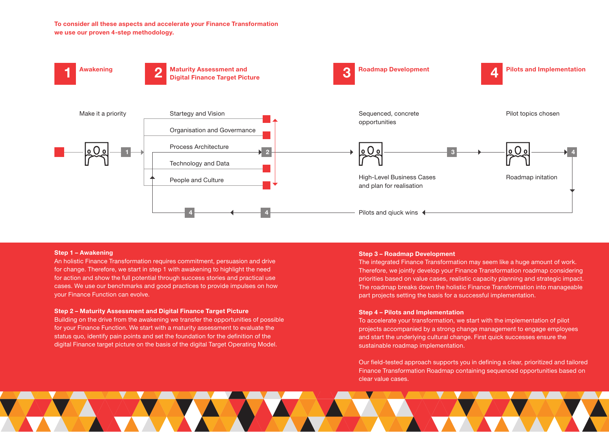**To consider all these aspects and accelerate your Finance Transformation we use our proven 4-step methodology.**



#### **Step 1 – Awakening**

An holistic Finance Transformation requires commitment, persuasion and drive for change. Therefore, we start in step 1 with awakening to highlight the need for action and show the full potential through success stories and practical use cases. We use our benchmarks and good practices to provide impulses on how your Finance Function can evolve.

#### **Step 2 – Maturity Assessment and Digital Finance Target Picture**

Building on the drive from the awakening we transfer the opportunities of possible for your Finance Function. We start with a maturity assessment to evaluate the status quo, identify pain points and set the foundation for the definition of the digital Finance target picture on the basis of the digital Target Operating Model.

#### **Step 3 – Roadmap Development**

The integrated Finance Transformation may seem like a huge amount of work. Therefore, we jointly develop your Finance Transformation roadmap considering priorities based on value cases, realistic capacity planning and strategic impact. The roadmap breaks down the holistic Finance Transformation into manageable part projects setting the basis for a successful implementation.

#### **Step 4 – Pilots and Implementation**

To accelerate your transformation, we start with the implementation of pilot projects accompanied by a strong change management to engage employees and start the underlying cultural change. First quick successes ensure the sustainable roadmap implementation.

Our field-tested approach supports you in defining a clear, prioritized and tailored Finance Transformation Roadmap containing sequenced opportunities based on clear value cases.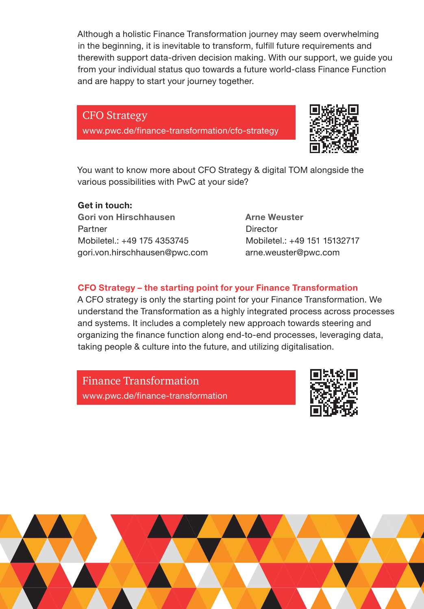Although a holistic Finance Transformation journey may seem overwhelming in the beginning, it is inevitable to transform, fulfill future requirements and therewith support data-driven decision making. With our support, we guide you from your individual status quo towards a future world-class Finance Function and are happy to start your journey together.

## CFO Strategy

www.pwc.de/finance-transformation/cfo-strategy



You want to know more about CFO Strategy & digital TOM alongside the various possibilities with PwC at your side?

## **Get in touch:**

**Gori von Hirschhausen** Partner Mobiletel.: +49 175 4353745 gori.von.hirschhausen@pwc.com **Arne Weuster Director** Mobiletel.: +49 151 15132717 arne.weuster@pwc.com

## **CFO Strategy – the starting point for your Finance Transformation**

A CFO strategy is only the starting point for your Finance Transformation. We understand the Transformation as a highly integrated process across processes and systems. It includes a completely new approach towards steering and organizing the finance function along end-to-end processes, leveraging data, taking people & culture into the future, and utilizing digitalisation.

Finance Transformation www.pwc.de/finance-transformation